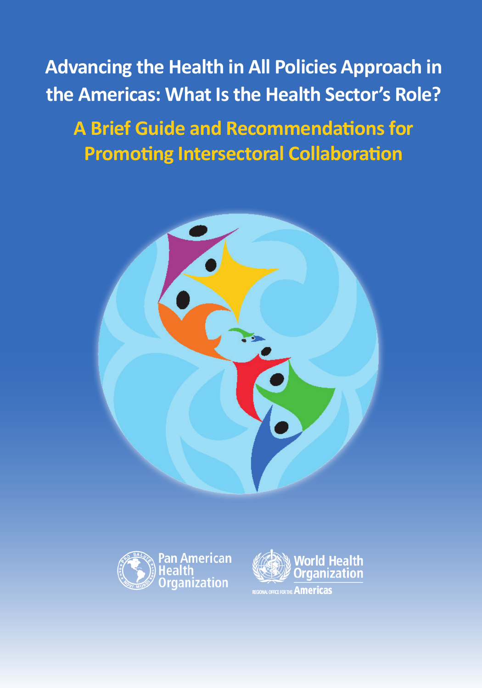**Advancing the Health in All Policies Approach in the Americas: What Is the Health Sector's Role?**

# **A Brief Guide and Recommendations for Promoting Intersectoral Collaboration**





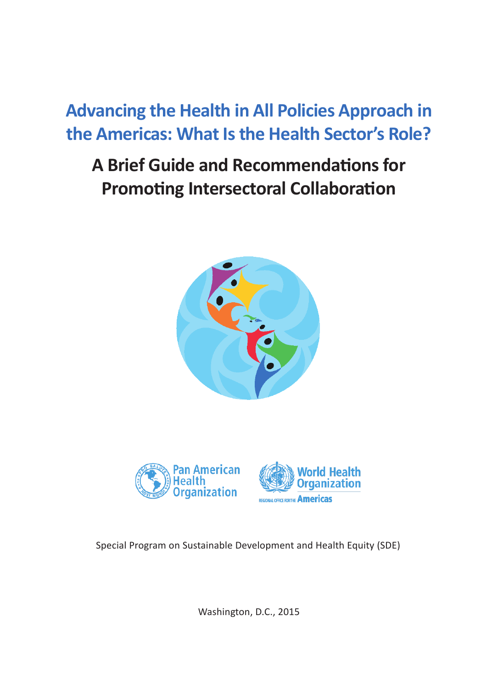# **Advancing the Health in All Policies Approach in the Americas: What Is the Health Sector's Role?**

# **A Brief Guide and Recommendations for Promoting Intersectoral Collaboration**







Special Program on Sustainable Development and Health Equity (SDE)

Washington, D.C., 2015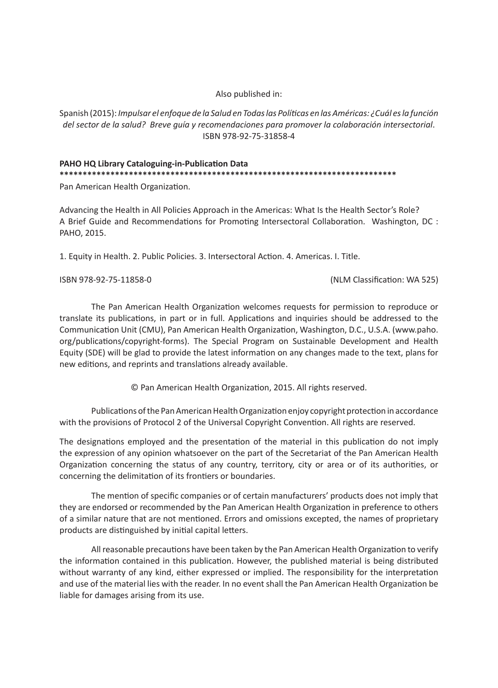#### Also published in:

Spanish (2015): *Impulsar el enfoque de la Salud en Todas las Políticas en las Américas: ¿Cuál es la función del sector de la salud? Breve guía y recomendaciones para promover la colaboración intersectorial*. ISBN 978-92-75-31858-4

#### **PAHO HQ Library Cataloguing-in-Publication Data \*\*\*\*\*\*\*\*\*\*\*\*\*\*\*\*\*\*\*\*\*\*\*\*\*\*\*\*\*\*\*\*\*\*\*\*\*\*\*\*\*\*\*\*\*\*\*\*\*\*\*\*\*\*\*\*\*\*\*\*\*\*\*\*\*\*\*\*\*\*\*\*\***

Pan American Health Organization.

Advancing the Health in All Policies Approach in the Americas: What Is the Health Sector's Role? A Brief Guide and Recommendations for Promoting Intersectoral Collaboration. Washington, DC : PAHO, 2015.

1. Equity in Health. 2. Public Policies. 3. Intersectoral Action. 4. Americas. I. Title.

ISBN 978-92-75-11858-0 (NLM Classification: WA 525)

The Pan American Health Organization welcomes requests for permission to reproduce or translate its publications, in part or in full. Applications and inquiries should be addressed to the Communication Unit (CMU), Pan American Health Organization, Washington, D.C., U.S.A. (www.paho. org/publications/copyright-forms). The Special Program on Sustainable Development and Health Equity (SDE) will be glad to provide the latest information on any changes made to the text, plans for new editions, and reprints and translations already available.

© Pan American Health Organization, 2015. All rights reserved.

Publications of the Pan American Health Organization enjoy copyright protection in accordance with the provisions of Protocol 2 of the Universal Copyright Convention. All rights are reserved.

The designations employed and the presentation of the material in this publication do not imply the expression of any opinion whatsoever on the part of the Secretariat of the Pan American Health Organization concerning the status of any country, territory, city or area or of its authorities, or concerning the delimitation of its frontiers or boundaries.

The mention of specific companies or of certain manufacturers' products does not imply that they are endorsed or recommended by the Pan American Health Organization in preference to others of a similar nature that are not mentioned. Errors and omissions excepted, the names of proprietary products are distinguished by initial capital letters.

All reasonable precautions have been taken by the Pan American Health Organization to verify the information contained in this publication. However, the published material is being distributed without warranty of any kind, either expressed or implied. The responsibility for the interpretation and use of the material lies with the reader. In no event shall the Pan American Health Organization be liable for damages arising from its use.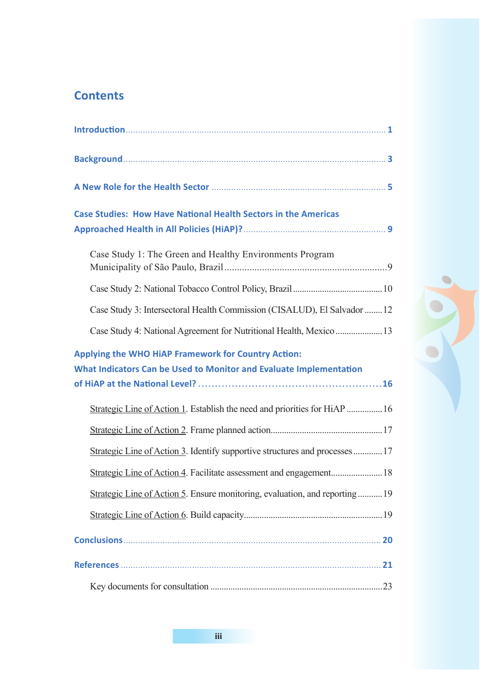# **Contents**

| <b>Case Studies: How Have National Health Sectors in the Americas</b>                                                            |  |
|----------------------------------------------------------------------------------------------------------------------------------|--|
| Case Study 1: The Green and Healthy Environments Program                                                                         |  |
|                                                                                                                                  |  |
| Case Study 3: Intersectoral Health Commission (CISALUD), El Salvador  12                                                         |  |
| Case Study 4: National Agreement for Nutritional Health, Mexico  13                                                              |  |
| <b>Applying the WHO HiAP Framework for Country Action:</b><br>What Indicators Can be Used to Monitor and Evaluate Implementation |  |
| Strategic Line of Action 1. Establish the need and priorities for HiAP  16                                                       |  |
|                                                                                                                                  |  |
| Strategic Line of Action 3. Identify supportive structures and processes17                                                       |  |
|                                                                                                                                  |  |
| Strategic Line of Action 5. Ensure monitoring, evaluation, and reporting19                                                       |  |
|                                                                                                                                  |  |
|                                                                                                                                  |  |
|                                                                                                                                  |  |
|                                                                                                                                  |  |

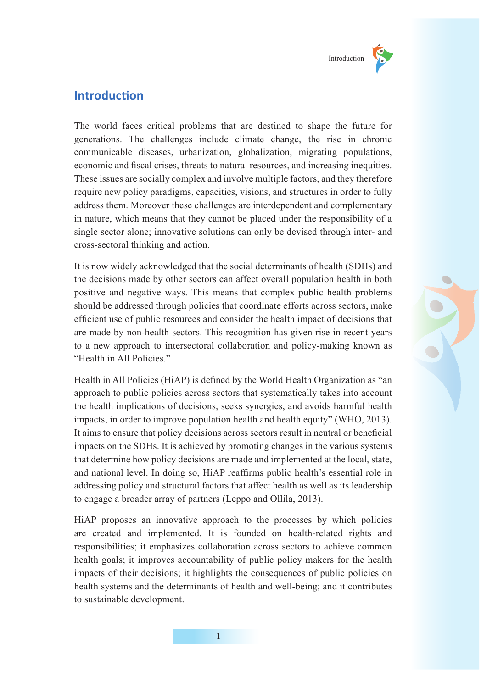

# **Introduction**

The world faces critical problems that are destined to shape the future for generations. The challenges include climate change, the rise in chronic communicable diseases, urbanization, globalization, migrating populations, economic and fiscal crises, threats to natural resources, and increasing inequities. These issues are socially complex and involve multiple factors, and they therefore require new policy paradigms, capacities, visions, and structures in order to fully address them. Moreover these challenges are interdependent and complementary in nature, which means that they cannot be placed under the responsibility of a single sector alone; innovative solutions can only be devised through inter- and cross-sectoral thinking and action.

It is now widely acknowledged that the social determinants of health (SDHs) and the decisions made by other sectors can affect overall population health in both positive and negative ways. This means that complex public health problems should be addressed through policies that coordinate efforts across sectors, make efficient use of public resources and consider the health impact of decisions that are made by non-health sectors. This recognition has given rise in recent years to a new approach to intersectoral collaboration and policy-making known as "Health in All Policies."

Health in All Policies (HiAP) is defined by the World Health Organization as "an approach to public policies across sectors that systematically takes into account the health implications of decisions, seeks synergies, and avoids harmful health impacts, in order to improve population health and health equity" (WHO, 2013). It aims to ensure that policy decisions across sectors result in neutral or beneficial impacts on the SDHs. It is achieved by promoting changes in the various systems that determine how policy decisions are made and implemented at the local, state, and national level. In doing so, HiAP reaffirms public health's essential role in addressing policy and structural factors that affect health as well as its leadership to engage a broader array of partners (Leppo and Ollila, 2013).

HiAP proposes an innovative approach to the processes by which policies are created and implemented. It is founded on health-related rights and responsibilities; it emphasizes collaboration across sectors to achieve common health goals; it improves accountability of public policy makers for the health impacts of their decisions; it highlights the consequences of public policies on health systems and the determinants of health and well-being; and it contributes to sustainable development.

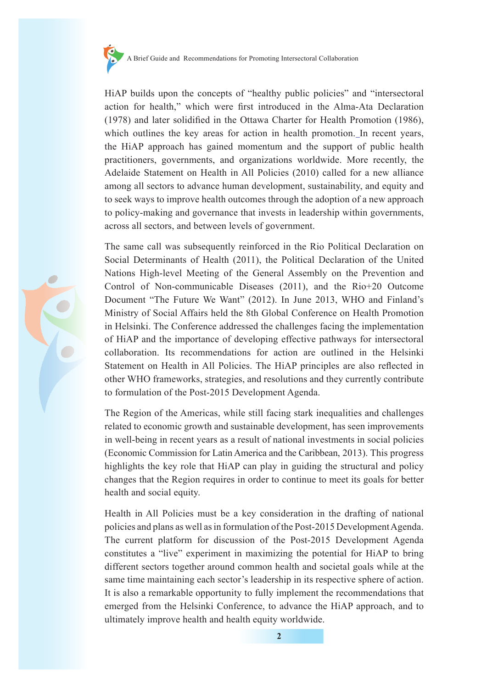

HiAP builds upon the concepts of "healthy public policies" and "intersectoral action for health," which were first introduced in the Alma-Ata Declaration (1978) and later solidified in the Ottawa Charter for Health Promotion (1986), which outlines the key areas for action in health promotion. In recent years, the HiAP approach has gained momentum and the support of public health practitioners, governments, and organizations worldwide. More recently, the Adelaide Statement on Health in All Policies (2010) called for a new alliance among all sectors to advance human development, sustainability, and equity and to seek ways to improve health outcomes through the adoption of a new approach to policy-making and governance that invests in leadership within governments, across all sectors, and between levels of government.

The same call was subsequently reinforced in the Rio Political Declaration on Social Determinants of Health (2011), the Political Declaration of the United Nations High-level Meeting of the General Assembly on the Prevention and Control of Non-communicable Diseases (2011), and the Rio+20 Outcome Document "The Future We Want" (2012). In June 2013, WHO and Finland's Ministry of Social Affairs held the 8th Global Conference on Health Promotion in Helsinki. The Conference addressed the challenges facing the implementation of HiAP and the importance of developing effective pathways for intersectoral collaboration. Its recommendations for action are outlined in the Helsinki Statement on Health in All Policies. The HiAP principles are also reflected in other WHO frameworks, strategies, and resolutions and they currently contribute to formulation of the Post-2015 Development Agenda.

The Region of the Americas, while still facing stark inequalities and challenges related to economic growth and sustainable development, has seen improvements in well-being in recent years as a result of national investments in social policies (Economic Commission for Latin America and the Caribbean, 2013). This progress highlights the key role that HiAP can play in guiding the structural and policy changes that the Region requires in order to continue to meet its goals for better health and social equity.

Health in All Policies must be a key consideration in the drafting of national policies and plans as well as in formulation of the Post-2015 Development Agenda. The current platform for discussion of the Post-2015 Development Agenda constitutes a "live" experiment in maximizing the potential for HiAP to bring different sectors together around common health and societal goals while at the same time maintaining each sector's leadership in its respective sphere of action. It is also a remarkable opportunity to fully implement the recommendations that emerged from the Helsinki Conference, to advance the HiAP approach, and to ultimately improve health and health equity worldwide.



**2**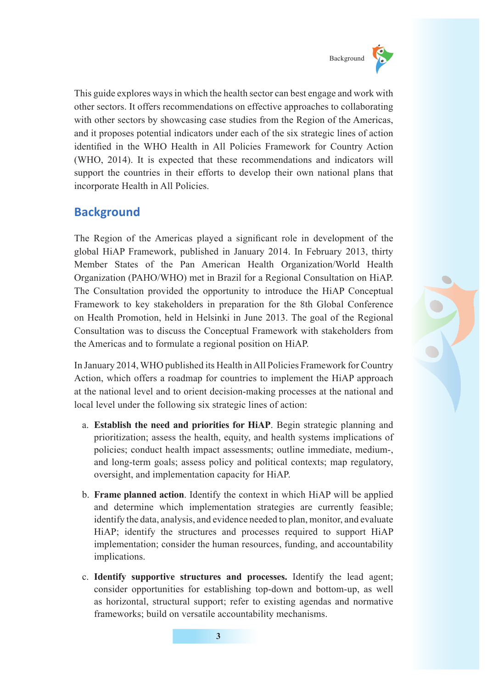

This guide explores ways in which the health sector can best engage and work with other sectors. It offers recommendations on effective approaches to collaborating with other sectors by showcasing case studies from the Region of the Americas, and it proposes potential indicators under each of the six strategic lines of action identified in the WHO Health in All Policies Framework for Country Action (WHO, 2014). It is expected that these recommendations and indicators will support the countries in their efforts to develop their own national plans that incorporate Health in All Policies.

# **Background**

The Region of the Americas played a significant role in development of the global HiAP Framework, published in January 2014. In February 2013, thirty Member States of the Pan American Health Organization/World Health Organization (PAHO/WHO) met in Brazil for a Regional Consultation on HiAP. The Consultation provided the opportunity to introduce the HiAP Conceptual Framework to key stakeholders in preparation for the 8th Global Conference on Health Promotion, held in Helsinki in June 2013. The goal of the Regional Consultation was to discuss the Conceptual Framework with stakeholders from the Americas and to formulate a regional position on HiAP.

In January 2014, WHO published its Health in All Policies Framework for Country Action, which offers a roadmap for countries to implement the HiAP approach at the national level and to orient decision-making processes at the national and local level under the following six strategic lines of action:

- a. **Establish the need and priorities for HiAP**. Begin strategic planning and prioritization; assess the health, equity, and health systems implications of policies; conduct health impact assessments; outline immediate, medium-, and long-term goals; assess policy and political contexts; map regulatory, oversight, and implementation capacity for HiAP.
- b. **Frame planned action**. Identify the context in which HiAP will be applied and determine which implementation strategies are currently feasible; identify the data, analysis, and evidence needed to plan, monitor, and evaluate HiAP; identify the structures and processes required to support HiAP implementation; consider the human resources, funding, and accountability implications.
- c. **Identify supportive structures and processes.** Identify the lead agent; consider opportunities for establishing top-down and bottom-up, as well as horizontal, structural support; refer to existing agendas and normative frameworks; build on versatile accountability mechanisms.

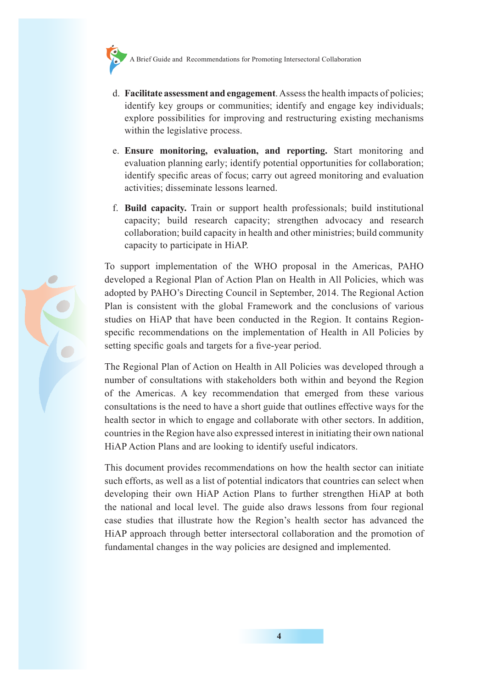

- d. **Facilitate assessment and engagement**. Assess the health impacts of policies; identify key groups or communities; identify and engage key individuals; explore possibilities for improving and restructuring existing mechanisms within the legislative process.
- e. **Ensure monitoring, evaluation, and reporting.** Start monitoring and evaluation planning early; identify potential opportunities for collaboration; identify specific areas of focus; carry out agreed monitoring and evaluation activities; disseminate lessons learned.
- f. **Build capacity.** Train or support health professionals; build institutional capacity; build research capacity; strengthen advocacy and research collaboration; build capacity in health and other ministries; build community capacity to participate in HiAP.

To support implementation of the WHO proposal in the Americas, PAHO developed a Regional Plan of Action Plan on Health in All Policies, which was adopted by PAHO's Directing Council in September, 2014. The Regional Action Plan is consistent with the global Framework and the conclusions of various studies on HiAP that have been conducted in the Region. It contains Regionspecific recommendations on the implementation of Health in All Policies by setting specific goals and targets for a five-year period.

The Regional Plan of Action on Health in All Policies was developed through a number of consultations with stakeholders both within and beyond the Region of the Americas. A key recommendation that emerged from these various consultations is the need to have a short guide that outlines effective ways for the health sector in which to engage and collaborate with other sectors. In addition, countries in the Region have also expressed interest in initiating their own national HiAP Action Plans and are looking to identify useful indicators.

This document provides recommendations on how the health sector can initiate such efforts, as well as a list of potential indicators that countries can select when developing their own HiAP Action Plans to further strengthen HiAP at both the national and local level. The guide also draws lessons from four regional case studies that illustrate how the Region's health sector has advanced the HiAP approach through better intersectoral collaboration and the promotion of fundamental changes in the way policies are designed and implemented.

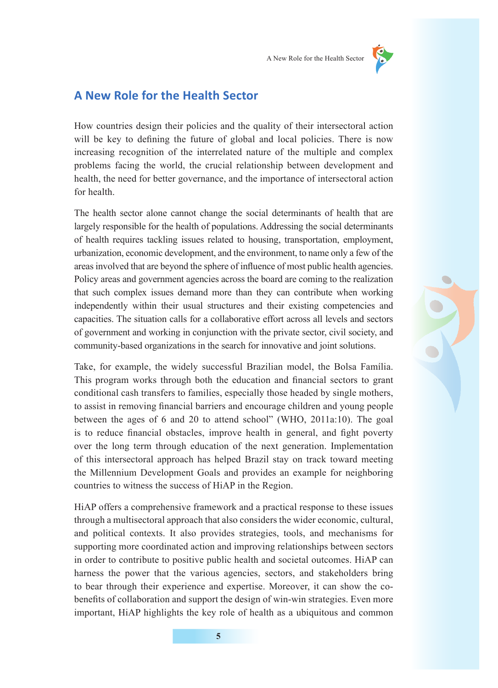

## **A New Role for the Health Sector**

How countries design their policies and the quality of their intersectoral action will be key to defining the future of global and local policies. There is now increasing recognition of the interrelated nature of the multiple and complex problems facing the world, the crucial relationship between development and health, the need for better governance, and the importance of intersectoral action for health.

The health sector alone cannot change the social determinants of health that are largely responsible for the health of populations. Addressing the social determinants of health requires tackling issues related to housing, transportation, employment, urbanization, economic development, and the environment, to name only a few of the areas involved that are beyond the sphere of influence of most public health agencies. Policy areas and government agencies across the board are coming to the realization that such complex issues demand more than they can contribute when working independently within their usual structures and their existing competencies and capacities. The situation calls for a collaborative effort across all levels and sectors of government and working in conjunction with the private sector, civil society, and community-based organizations in the search for innovative and joint solutions.

Take, for example, the widely successful Brazilian model, the Bolsa Família. This program works through both the education and financial sectors to grant conditional cash transfers to families, especially those headed by single mothers, to assist in removing financial barriers and encourage children and young people between the ages of 6 and 20 to attend school" (WHO, 2011a:10). The goal is to reduce financial obstacles, improve health in general, and fight poverty over the long term through education of the next generation. Implementation of this intersectoral approach has helped Brazil stay on track toward meeting the Millennium Development Goals and provides an example for neighboring countries to witness the success of HiAP in the Region.

HiAP offers a comprehensive framework and a practical response to these issues through a multisectoral approach that also considers the wider economic, cultural, and political contexts. It also provides strategies, tools, and mechanisms for supporting more coordinated action and improving relationships between sectors in order to contribute to positive public health and societal outcomes. HiAP can harness the power that the various agencies, sectors, and stakeholders bring to bear through their experience and expertise. Moreover, it can show the cobenefits of collaboration and support the design of win-win strategies. Even more important, HiAP highlights the key role of health as a ubiquitous and common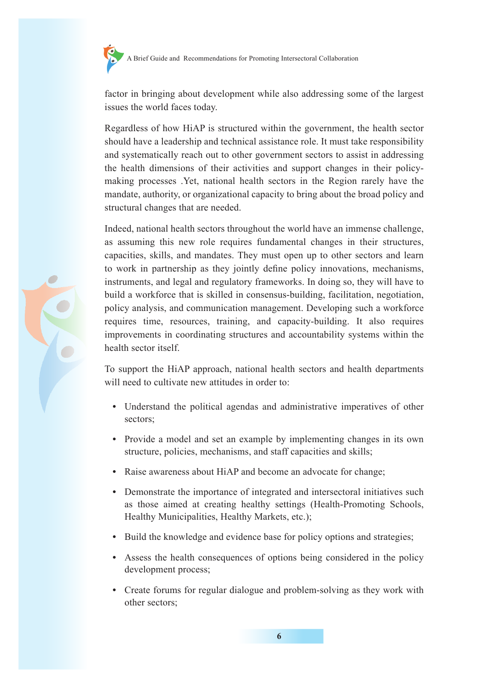

factor in bringing about development while also addressing some of the largest issues the world faces today.

Regardless of how HiAP is structured within the government, the health sector should have a leadership and technical assistance role. It must take responsibility and systematically reach out to other government sectors to assist in addressing the health dimensions of their activities and support changes in their policymaking processes .Yet, national health sectors in the Region rarely have the mandate, authority, or organizational capacity to bring about the broad policy and structural changes that are needed.

Indeed, national health sectors throughout the world have an immense challenge, as assuming this new role requires fundamental changes in their structures, capacities, skills, and mandates. They must open up to other sectors and learn to work in partnership as they jointly define policy innovations, mechanisms, instruments, and legal and regulatory frameworks. In doing so, they will have to build a workforce that is skilled in consensus-building, facilitation, negotiation, policy analysis, and communication management. Developing such a workforce requires time, resources, training, and capacity-building. It also requires improvements in coordinating structures and accountability systems within the health sector itself.

To support the HiAP approach, national health sectors and health departments will need to cultivate new attitudes in order to:

- **•** Understand the political agendas and administrative imperatives of other sectors;
- **•** Provide a model and set an example by implementing changes in its own structure, policies, mechanisms, and staff capacities and skills;
- **•** Raise awareness about HiAP and become an advocate for change;
- **•** Demonstrate the importance of integrated and intersectoral initiatives such as those aimed at creating healthy settings (Health-Promoting Schools, Healthy Municipalities, Healthy Markets, etc.);
- **•** Build the knowledge and evidence base for policy options and strategies;
- **•** Assess the health consequences of options being considered in the policy development process;
- **•** Create forums for regular dialogue and problem-solving as they work with other sectors;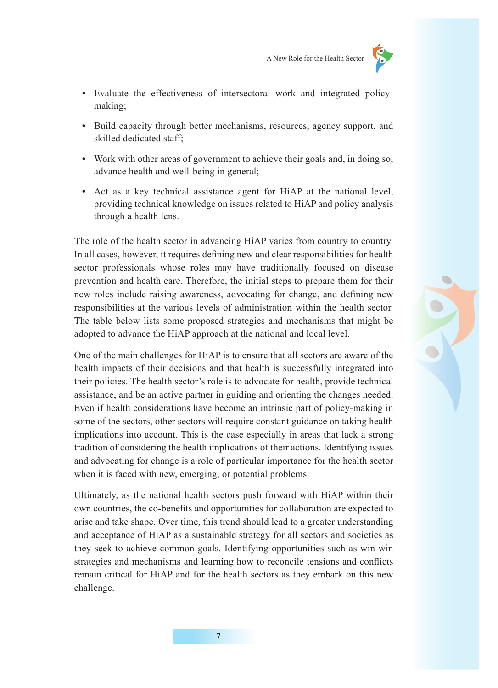

- **•** Evaluate the effectiveness of intersectoral work and integrated policymaking;
- **•** Build capacity through better mechanisms, resources, agency support, and skilled dedicated staff;
- **•** Work with other areas of government to achieve their goals and, in doing so, advance health and well-being in general;
- **•** Act as a key technical assistance agent for HiAP at the national level, providing technical knowledge on issues related to HiAP and policy analysis through a health lens.

The role of the health sector in advancing HiAP varies from country to country. In all cases, however, it requires defining new and clear responsibilities for health sector professionals whose roles may have traditionally focused on disease prevention and health care. Therefore, the initial steps to prepare them for their new roles include raising awareness, advocating for change, and defining new responsibilities at the various levels of administration within the health sector. The table below lists some proposed strategies and mechanisms that might be adopted to advance the HiAP approach at the national and local level.

One of the main challenges for HiAP is to ensure that all sectors are aware of the health impacts of their decisions and that health is successfully integrated into their policies. The health sector's role is to advocate for health, provide technical assistance, and be an active partner in guiding and orienting the changes needed. Even if health considerations have become an intrinsic part of policy-making in some of the sectors, other sectors will require constant guidance on taking health implications into account. This is the case especially in areas that lack a strong tradition of considering the health implications of their actions. Identifying issues and advocating for change is a role of particular importance for the health sector when it is faced with new, emerging, or potential problems.

Ultimately, as the national health sectors push forward with HiAP within their own countries, the co-benefits and opportunities for collaboration are expected to arise and take shape. Over time, this trend should lead to a greater understanding and acceptance of HiAP as a sustainable strategy for all sectors and societies as they seek to achieve common goals. Identifying opportunities such as win-win strategies and mechanisms and learning how to reconcile tensions and conflicts remain critical for HiAP and for the health sectors as they embark on this new challenge.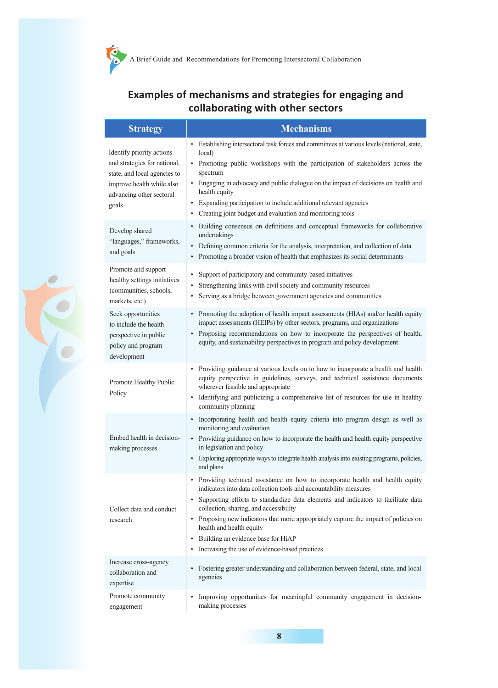## **Examples of mechanisms and strategies for engaging and collaborating with other sectors**

| <b>Strategy</b>                                                                                                                                             | <b>Mechanisms</b>                                                                                                                                                                                                                                                                                                                                                                                                                                                                                                       |
|-------------------------------------------------------------------------------------------------------------------------------------------------------------|-------------------------------------------------------------------------------------------------------------------------------------------------------------------------------------------------------------------------------------------------------------------------------------------------------------------------------------------------------------------------------------------------------------------------------------------------------------------------------------------------------------------------|
| Identify priority actions<br>and strategies for national,<br>state, and local agencies to<br>improve health while also<br>advancing other sectoral<br>goals | • Establishing intersectoral task forces and committees at various levels (national, state,<br>local)<br>• Promoting public workshops with the participation of stakeholders across the<br>spectrum<br>• Engaging in advocacy and public dialogue on the impact of decisions on health and<br>health equity<br>Expanding participation to include additional relevant agencies<br>Creating joint budget and evaluation and monitoring tools                                                                             |
| Develop shared<br>"languages," frameworks,<br>and goals                                                                                                     | Building consensus on definitions and conceptual frameworks for collaborative<br>undertakings<br>Defining common criteria for the analysis, interpretation, and collection of data<br>Promoting a broader vision of health that emphasizes its social determinants                                                                                                                                                                                                                                                      |
| Promote and support<br>healthy settings initiatives<br>(communities, schools,<br>markets, etc.)                                                             | Support of participatory and community-based initiatives<br>٠<br>Strengthening links with civil society and community resources<br>Serving as a bridge between government agencies and communities                                                                                                                                                                                                                                                                                                                      |
| Seek opportunities<br>to include the health<br>perspective in public<br>policy and program<br>development                                                   | Promoting the adoption of health impact assessments (HIAs) and/or health equity<br>impact assessments (HEIPs) by other sectors, programs, and organizations<br>Proposing recommendations on how to incorporate the perspectives of health,<br>$\bullet$<br>equity, and sustainability perspectives in program and policy development                                                                                                                                                                                    |
| Promote Healthy Public<br>Policy                                                                                                                            | $\bullet$<br>Providing guidance at various levels on to how to incorporate a health and health<br>equity perspective in guidelines, surveys, and technical assistance documents<br>wherever feasible and appropriate<br>Identifying and publicizing a comprehensive list of resources for use in healthy<br>٠<br>community planning                                                                                                                                                                                     |
| Embed health in decision-<br>making processes                                                                                                               | Incorporating health and health equity criteria into program design as well as<br>٠<br>monitoring and evaluation<br>• Providing guidance on how to incorporate the health and health equity perspective<br>in legislation and policy<br>• Exploring appropriate ways to integrate health analysis into existing programs, policies,<br>and plans                                                                                                                                                                        |
| Collect data and conduct<br>research                                                                                                                        | Providing technical assistance on how to incorporate health and health equity<br>$\bullet$<br>indicators into data collection tools and accountability measures<br>Supporting efforts to standardize data elements and indicators to facilitate data<br>collection, sharing, and accessibility<br>• Proposing new indicators that more appropriately capture the impact of policies on<br>health and health equity<br>Building an evidence base for HiAP<br>$\bullet$<br>Increasing the use of evidence-based practices |
| Increase cross-agency<br>collaboration and<br>expertise                                                                                                     | Fostering greater understanding and collaboration between federal, state, and local<br>agencies                                                                                                                                                                                                                                                                                                                                                                                                                         |
| Promote community<br>engagement                                                                                                                             | Improving opportunities for meaningful community engagement in decision-<br>$\bullet$<br>making processes                                                                                                                                                                                                                                                                                                                                                                                                               |

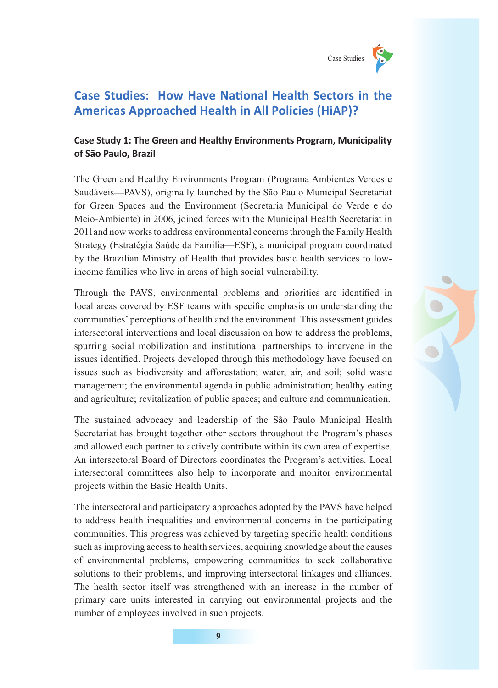

# **Case Studies: How Have National Health Sectors in the Americas Approached Health in All Policies (HiAP)?**

#### **Case Study 1: The Green and Healthy Environments Program, Municipality of São Paulo, Brazil**

The Green and Healthy Environments Program (Programa Ambientes Verdes e Saudáveis—PAVS), originally launched by the São Paulo Municipal Secretariat for Green Spaces and the Environment (Secretaria Municipal do Verde e do Meio-Ambiente) in 2006, joined forces with the Municipal Health Secretariat in 2011and now works to address environmental concerns through the Family Health Strategy (Estratégia Saúde da Família—ESF), a municipal program coordinated by the Brazilian Ministry of Health that provides basic health services to lowincome families who live in areas of high social vulnerability.

Through the PAVS, environmental problems and priorities are identified in local areas covered by ESF teams with specific emphasis on understanding the communities' perceptions of health and the environment. This assessment guides intersectoral interventions and local discussion on how to address the problems, spurring social mobilization and institutional partnerships to intervene in the issues identified. Projects developed through this methodology have focused on issues such as biodiversity and afforestation; water, air, and soil; solid waste management; the environmental agenda in public administration; healthy eating and agriculture; revitalization of public spaces; and culture and communication.

The sustained advocacy and leadership of the São Paulo Municipal Health Secretariat has brought together other sectors throughout the Program's phases and allowed each partner to actively contribute within its own area of expertise. An intersectoral Board of Directors coordinates the Program's activities. Local intersectoral committees also help to incorporate and monitor environmental projects within the Basic Health Units.

The intersectoral and participatory approaches adopted by the PAVS have helped to address health inequalities and environmental concerns in the participating communities. This progress was achieved by targeting specific health conditions such as improving access to health services, acquiring knowledge about the causes of environmental problems, empowering communities to seek collaborative solutions to their problems, and improving intersectoral linkages and alliances. The health sector itself was strengthened with an increase in the number of primary care units interested in carrying out environmental projects and the number of employees involved in such projects.

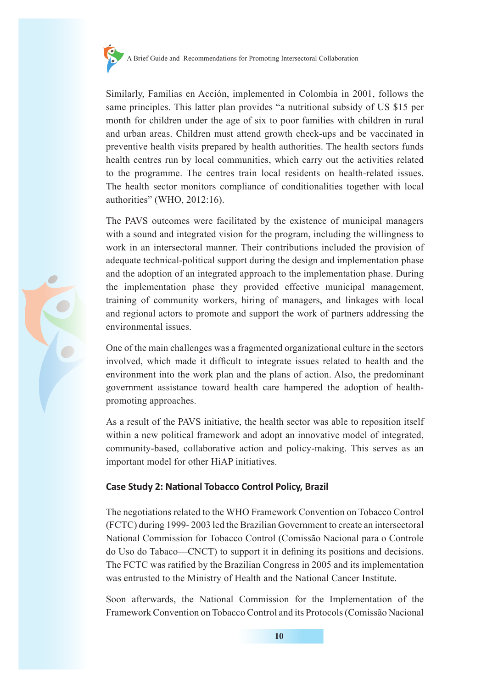

Similarly, Familias en Acción, implemented in Colombia in 2001, follows the same principles. This latter plan provides "a nutritional subsidy of US \$15 per month for children under the age of six to poor families with children in rural and urban areas. Children must attend growth check-ups and be vaccinated in preventive health visits prepared by health authorities. The health sectors funds health centres run by local communities, which carry out the activities related to the programme. The centres train local residents on health-related issues. The health sector monitors compliance of conditionalities together with local authorities" (WHO, 2012:16).

The PAVS outcomes were facilitated by the existence of municipal managers with a sound and integrated vision for the program, including the willingness to work in an intersectoral manner. Their contributions included the provision of adequate technical-political support during the design and implementation phase and the adoption of an integrated approach to the implementation phase. During the implementation phase they provided effective municipal management, training of community workers, hiring of managers, and linkages with local and regional actors to promote and support the work of partners addressing the environmental issues.

One of the main challenges was a fragmented organizational culture in the sectors involved, which made it difficult to integrate issues related to health and the environment into the work plan and the plans of action. Also, the predominant government assistance toward health care hampered the adoption of healthpromoting approaches.

As a result of the PAVS initiative, the health sector was able to reposition itself within a new political framework and adopt an innovative model of integrated, community-based, collaborative action and policy-making. This serves as an important model for other HiAP initiatives.

#### **Case Study 2: National Tobacco Control Policy, Brazil**

The negotiations related to the WHO Framework Convention on Tobacco Control (FCTC) during 1999- 2003 led the Brazilian Government to create an intersectoral National Commission for Tobacco Control (Comissão Nacional para o Controle do Uso do Tabaco—CNCT) to support it in defining its positions and decisions. The FCTC was ratified by the Brazilian Congress in 2005 and its implementation was entrusted to the Ministry of Health and the National Cancer Institute.

Soon afterwards, the National Commission for the Implementation of the Framework Convention on Tobacco Control and its Protocols (Comissão Nacional

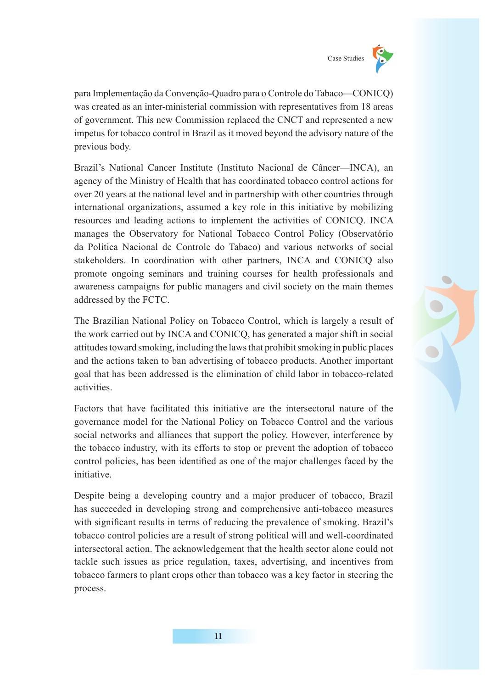

para Implementação da Convenção-Quadro para o Controle do Tabaco—CONICQ) was created as an inter-ministerial commission with representatives from 18 areas of government. This new Commission replaced the CNCT and represented a new impetus for tobacco control in Brazil as it moved beyond the advisory nature of the previous body.

Brazil's National Cancer Institute (Instituto Nacional de Câncer—INCA), an agency of the Ministry of Health that has coordinated tobacco control actions for over 20 years at the national level and in partnership with other countries through international organizations, assumed a key role in this initiative by mobilizing resources and leading actions to implement the activities of CONICQ. INCA manages the Observatory for National Tobacco Control Policy (Observatório da Política Nacional de Controle do Tabaco) and various networks of social stakeholders. In coordination with other partners, INCA and CONICQ also promote ongoing seminars and training courses for health professionals and awareness campaigns for public managers and civil society on the main themes addressed by the FCTC.

The Brazilian National Policy on Tobacco Control, which is largely a result of the work carried out by INCA and CONICQ, has generated a major shift in social attitudes toward smoking, including the laws that prohibit smoking in public places and the actions taken to ban advertising of tobacco products. Another important goal that has been addressed is the elimination of child labor in tobacco-related activities.

Factors that have facilitated this initiative are the intersectoral nature of the governance model for the National Policy on Tobacco Control and the various social networks and alliances that support the policy. However, interference by the tobacco industry, with its efforts to stop or prevent the adoption of tobacco control policies, has been identified as one of the major challenges faced by the initiative.

Despite being a developing country and a major producer of tobacco, Brazil has succeeded in developing strong and comprehensive anti-tobacco measures with significant results in terms of reducing the prevalence of smoking. Brazil's tobacco control policies are a result of strong political will and well-coordinated intersectoral action. The acknowledgement that the health sector alone could not tackle such issues as price regulation, taxes, advertising, and incentives from tobacco farmers to plant crops other than tobacco was a key factor in steering the process.

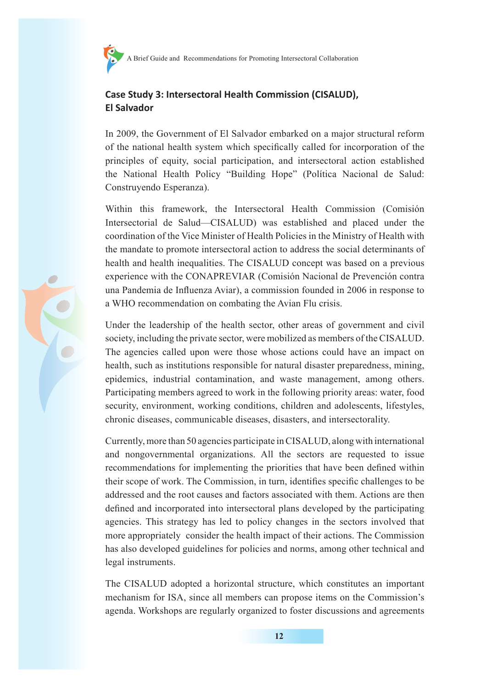## **Case Study 3: Intersectoral Health Commission (CISALUD), El Salvador**

In 2009, the Government of El Salvador embarked on a major structural reform of the national health system which specifically called for incorporation of the principles of equity, social participation, and intersectoral action established the National Health Policy "Building Hope" (Política Nacional de Salud: Construyendo Esperanza).

Within this framework, the Intersectoral Health Commission (Comisión Intersectorial de Salud—CISALUD) was established and placed under the coordination of the Vice Minister of Health Policies in the Ministry of Health with the mandate to promote intersectoral action to address the social determinants of health and health inequalities. The CISALUD concept was based on a previous experience with the CONAPREVIAR (Comisión Nacional de Prevención contra una Pandemia de Influenza Aviar), a commission founded in 2006 in response to a WHO recommendation on combating the Avian Flu crisis.

Under the leadership of the health sector, other areas of government and civil society, including the private sector, were mobilized as members of the CISALUD. The agencies called upon were those whose actions could have an impact on health, such as institutions responsible for natural disaster preparedness, mining, epidemics, industrial contamination, and waste management, among others. Participating members agreed to work in the following priority areas: water, food security, environment, working conditions, children and adolescents, lifestyles, chronic diseases, communicable diseases, disasters, and intersectorality.

Currently, more than 50 agencies participate in CISALUD, along with international and nongovernmental organizations. All the sectors are requested to issue recommendations for implementing the priorities that have been defined within their scope of work. The Commission, in turn, identifies specific challenges to be addressed and the root causes and factors associated with them. Actions are then defined and incorporated into intersectoral plans developed by the participating agencies. This strategy has led to policy changes in the sectors involved that more appropriately consider the health impact of their actions. The Commission has also developed guidelines for policies and norms, among other technical and legal instruments.

The CISALUD adopted a horizontal structure, which constitutes an important mechanism for ISA, since all members can propose items on the Commission's agenda. Workshops are regularly organized to foster discussions and agreements

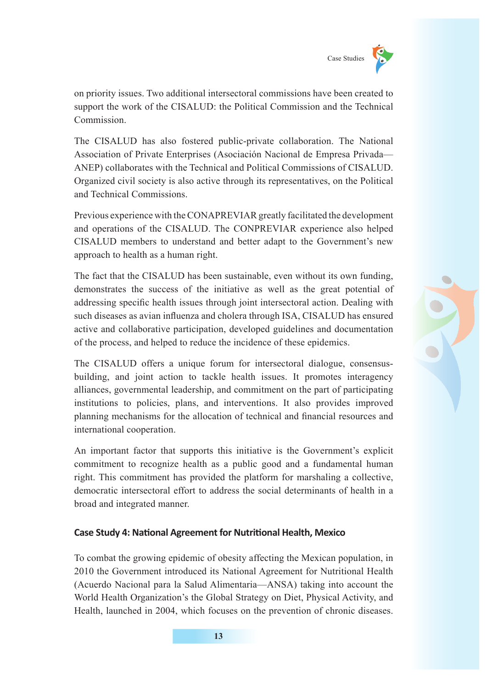

on priority issues. Two additional intersectoral commissions have been created to support the work of the CISALUD: the Political Commission and the Technical Commission.

The CISALUD has also fostered public-private collaboration. The National Association of Private Enterprises (Asociación Nacional de Empresa Privada— ANEP) collaborates with the Technical and Political Commissions of CISALUD. Organized civil society is also active through its representatives, on the Political and Technical Commissions.

Previous experience with the CONAPREVIAR greatly facilitated the development and operations of the CISALUD. The CONPREVIAR experience also helped CISALUD members to understand and better adapt to the Government's new approach to health as a human right.

The fact that the CISALUD has been sustainable, even without its own funding, demonstrates the success of the initiative as well as the great potential of addressing specific health issues through joint intersectoral action. Dealing with such diseases as avian influenza and cholera through ISA, CISALUD has ensured active and collaborative participation, developed guidelines and documentation of the process, and helped to reduce the incidence of these epidemics.

The CISALUD offers a unique forum for intersectoral dialogue, consensusbuilding, and joint action to tackle health issues. It promotes interagency alliances, governmental leadership, and commitment on the part of participating institutions to policies, plans, and interventions. It also provides improved planning mechanisms for the allocation of technical and financial resources and international cooperation.

An important factor that supports this initiative is the Government's explicit commitment to recognize health as a public good and a fundamental human right. This commitment has provided the platform for marshaling a collective, democratic intersectoral effort to address the social determinants of health in a broad and integrated manner.

#### **Case Study 4: National Agreement for Nutritional Health, Mexico**

To combat the growing epidemic of obesity affecting the Mexican population, in 2010 the Government introduced its National Agreement for Nutritional Health (Acuerdo Nacional para la Salud Alimentaria—ANSA) taking into account the World Health Organization's the Global Strategy on Diet, Physical Activity, and Health, launched in 2004, which focuses on the prevention of chronic diseases.

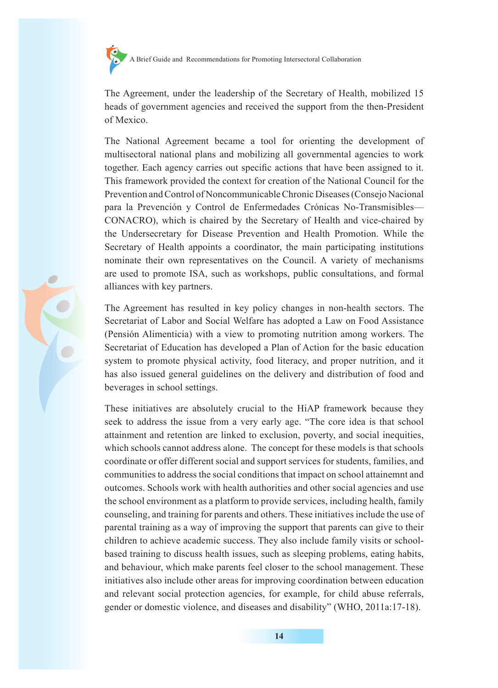

The Agreement, under the leadership of the Secretary of Health, mobilized 15 heads of government agencies and received the support from the then-President of Mexico.

The National Agreement became a tool for orienting the development of multisectoral national plans and mobilizing all governmental agencies to work together. Each agency carries out specific actions that have been assigned to it. This framework provided the context for creation of the National Council for the Prevention and Control of Noncommunicable Chronic Diseases (Consejo Nacional para la Prevención y Control de Enfermedades Crónicas No-Transmisibles— CONACRO), which is chaired by the Secretary of Health and vice-chaired by the Undersecretary for Disease Prevention and Health Promotion. While the Secretary of Health appoints a coordinator, the main participating institutions nominate their own representatives on the Council. A variety of mechanisms are used to promote ISA, such as workshops, public consultations, and formal alliances with key partners.

The Agreement has resulted in key policy changes in non-health sectors. The Secretariat of Labor and Social Welfare has adopted a Law on Food Assistance (Pensión Alimenticia) with a view to promoting nutrition among workers. The Secretariat of Education has developed a Plan of Action for the basic education system to promote physical activity, food literacy, and proper nutrition, and it has also issued general guidelines on the delivery and distribution of food and beverages in school settings.

These initiatives are absolutely crucial to the HiAP framework because they seek to address the issue from a very early age. "The core idea is that school attainment and retention are linked to exclusion, poverty, and social inequities, which schools cannot address alone. The concept for these models is that schools coordinate or offer different social and support services for students, families, and communities to address the social conditions that impact on school attainemnt and outcomes. Schools work with health authorities and other social agencies and use the school environment as a platform to provide services, including health, family counseling, and training for parents and others. These initiatives include the use of parental training as a way of improving the support that parents can give to their children to achieve academic success. They also include family visits or schoolbased training to discuss health issues, such as sleeping problems, eating habits, and behaviour, which make parents feel closer to the school management. These initiatives also include other areas for improving coordination between education and relevant social protection agencies, for example, for child abuse referrals, gender or domestic violence, and diseases and disability" (WHO, 2011a:17-18).

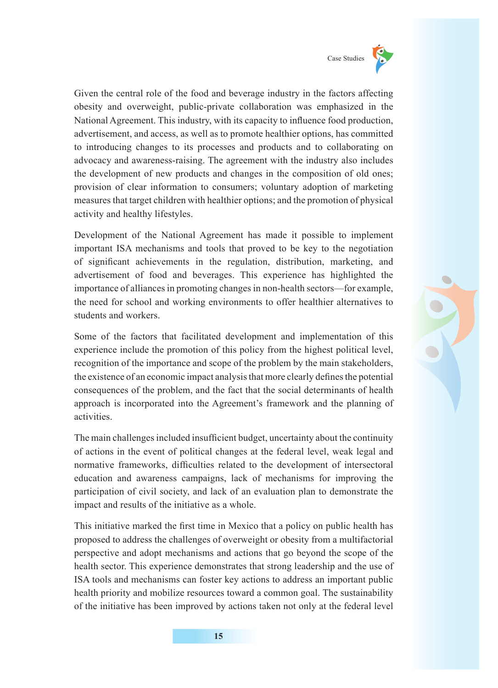

Given the central role of the food and beverage industry in the factors affecting obesity and overweight, public-private collaboration was emphasized in the National Agreement. This industry, with its capacity to influence food production, advertisement, and access, as well as to promote healthier options, has committed to introducing changes to its processes and products and to collaborating on advocacy and awareness-raising. The agreement with the industry also includes the development of new products and changes in the composition of old ones; provision of clear information to consumers; voluntary adoption of marketing measures that target children with healthier options; and the promotion of physical activity and healthy lifestyles.

Development of the National Agreement has made it possible to implement important ISA mechanisms and tools that proved to be key to the negotiation of significant achievements in the regulation, distribution, marketing, and advertisement of food and beverages. This experience has highlighted the importance of alliances in promoting changes in non-health sectors—for example, the need for school and working environments to offer healthier alternatives to students and workers.

Some of the factors that facilitated development and implementation of this experience include the promotion of this policy from the highest political level, recognition of the importance and scope of the problem by the main stakeholders, the existence of an economic impact analysis that more clearly defines the potential consequences of the problem, and the fact that the social determinants of health approach is incorporated into the Agreement's framework and the planning of activities.

The main challenges included insufficient budget, uncertainty about the continuity of actions in the event of political changes at the federal level, weak legal and normative frameworks, difficulties related to the development of intersectoral education and awareness campaigns, lack of mechanisms for improving the participation of civil society, and lack of an evaluation plan to demonstrate the impact and results of the initiative as a whole.

This initiative marked the first time in Mexico that a policy on public health has proposed to address the challenges of overweight or obesity from a multifactorial perspective and adopt mechanisms and actions that go beyond the scope of the health sector. This experience demonstrates that strong leadership and the use of ISA tools and mechanisms can foster key actions to address an important public health priority and mobilize resources toward a common goal. The sustainability of the initiative has been improved by actions taken not only at the federal level

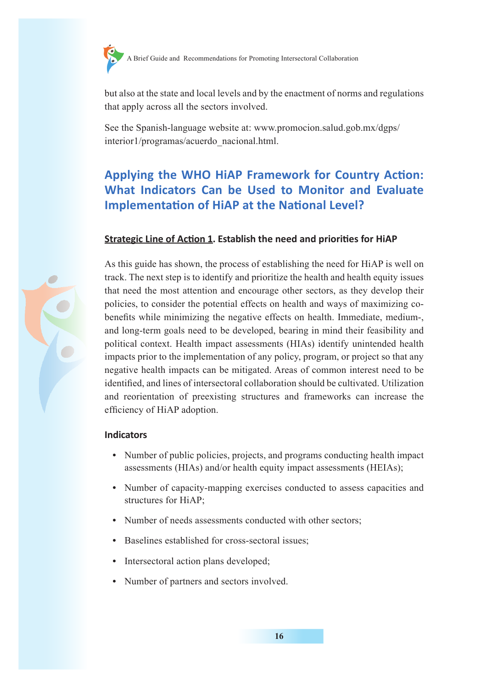

but also at the state and local levels and by the enactment of norms and regulations that apply across all the sectors involved.

See the Spanish-language website at: www.promocion.salud.gob.mx/dgps/ interior1/programas/acuerdo\_nacional.html.

# **Applying the WHO HiAP Framework for Country Action: What Indicators Can be Used to Monitor and Evaluate Implementation of HiAP at the National Level?**

#### **Strategic Line of Action 1. Establish the need and priorities for HiAP**



As this guide has shown, the process of establishing the need for HiAP is well on track. The next step is to identify and prioritize the health and health equity issues that need the most attention and encourage other sectors, as they develop their policies, to consider the potential effects on health and ways of maximizing cobenefits while minimizing the negative effects on health. Immediate, medium-, and long-term goals need to be developed, bearing in mind their feasibility and political context. Health impact assessments (HIAs) identify unintended health impacts prior to the implementation of any policy, program, or project so that any negative health impacts can be mitigated. Areas of common interest need to be identified, and lines of intersectoral collaboration should be cultivated. Utilization and reorientation of preexisting structures and frameworks can increase the efficiency of HiAP adoption.

#### **Indicators**

- **•** Number of public policies, projects, and programs conducting health impact assessments (HIAs) and/or health equity impact assessments (HEIAs);
- **•** Number of capacity-mapping exercises conducted to assess capacities and structures for HiAP;
- **•** Number of needs assessments conducted with other sectors;
- **•** Baselines established for cross-sectoral issues;
- **•** Intersectoral action plans developed;
- **•** Number of partners and sectors involved.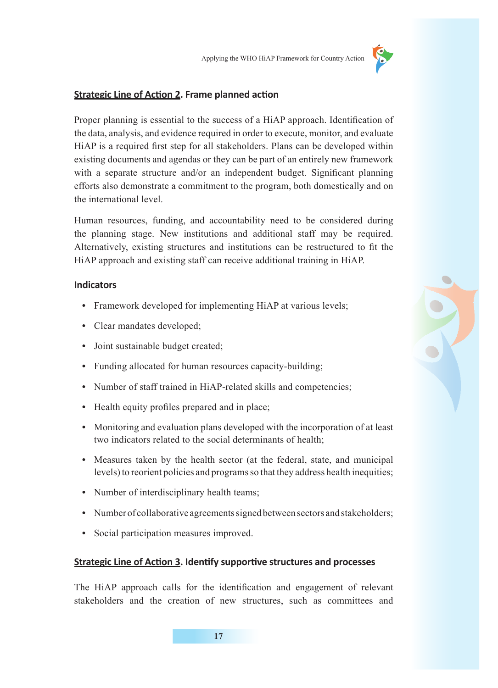

#### **Strategic Line of Action 2. Frame planned action**

Proper planning is essential to the success of a HiAP approach. Identification of the data, analysis, and evidence required in order to execute, monitor, and evaluate HiAP is a required first step for all stakeholders. Plans can be developed within existing documents and agendas or they can be part of an entirely new framework with a separate structure and/or an independent budget. Significant planning efforts also demonstrate a commitment to the program, both domestically and on the international level.

Human resources, funding, and accountability need to be considered during the planning stage. New institutions and additional staff may be required. Alternatively, existing structures and institutions can be restructured to fit the HiAP approach and existing staff can receive additional training in HiAP.

#### **Indicators**

- **•** Framework developed for implementing HiAP at various levels;
- **•** Clear mandates developed;
- **•** Joint sustainable budget created;
- **•** Funding allocated for human resources capacity-building;
- Number of staff trained in HiAP-related skills and competencies;
- Health equity profiles prepared and in place;
- **•** Monitoring and evaluation plans developed with the incorporation of at least two indicators related to the social determinants of health;
- **•** Measures taken by the health sector (at the federal, state, and municipal levels) to reorient policies and programs so that they address health inequities;
- **•** Number of interdisciplinary health teams;
- **•** Number of collaborative agreements signed between sectors and stakeholders;
- **•** Social participation measures improved.

#### **Strategic Line of Action 3. Identify supportive structures and processes**

The HiAP approach calls for the identification and engagement of relevant stakeholders and the creation of new structures, such as committees and

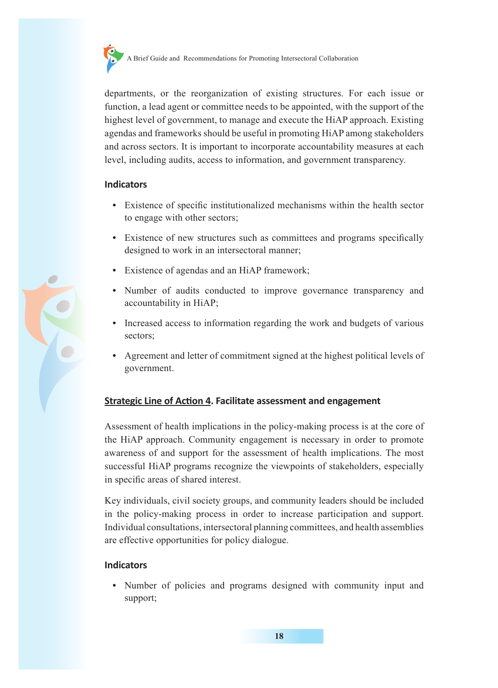

departments, or the reorganization of existing structures. For each issue or function, a lead agent or committee needs to be appointed, with the support of the highest level of government, to manage and execute the HiAP approach. Existing agendas and frameworks should be useful in promoting HiAP among stakeholders and across sectors. It is important to incorporate accountability measures at each level, including audits, access to information, and government transparency.

#### **Indicators**

- **•** Existence of specific institutionalized mechanisms within the health sector to engage with other sectors;
- **•** Existence of new structures such as committees and programs specifically designed to work in an intersectoral manner;
- **•** Existence of agendas and an HiAP framework;
- **•** Number of audits conducted to improve governance transparency and accountability in HiAP;
- **•** Increased access to information regarding the work and budgets of various sectors;
- **•** Agreement and letter of commitment signed at the highest political levels of government.

#### **Strategic Line of Action 4. Facilitate assessment and engagement**

Assessment of health implications in the policy-making process is at the core of the HiAP approach. Community engagement is necessary in order to promote awareness of and support for the assessment of health implications. The most successful HiAP programs recognize the viewpoints of stakeholders, especially in specific areas of shared interest.

Key individuals, civil society groups, and community leaders should be included in the policy-making process in order to increase participation and support. Individual consultations, intersectoral planning committees, and health assemblies are effective opportunities for policy dialogue.

#### **Indicators**

**•** Number of policies and programs designed with community input and support;

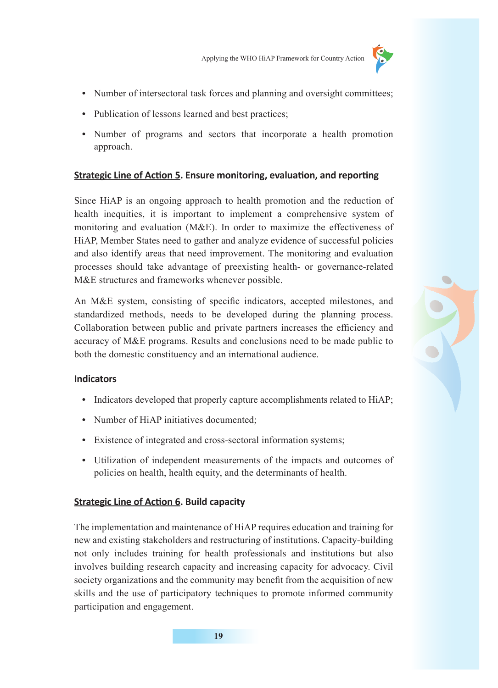

- **•** Number of intersectoral task forces and planning and oversight committees;
- Publication of lessons learned and best practices;
- **•** Number of programs and sectors that incorporate a health promotion approach.

#### **Strategic Line of Action 5. Ensure monitoring, evaluation, and reporting**

Since HiAP is an ongoing approach to health promotion and the reduction of health inequities, it is important to implement a comprehensive system of monitoring and evaluation (M&E). In order to maximize the effectiveness of HiAP, Member States need to gather and analyze evidence of successful policies and also identify areas that need improvement. The monitoring and evaluation processes should take advantage of preexisting health- or governance-related M&E structures and frameworks whenever possible.

An M&E system, consisting of specific indicators, accepted milestones, and standardized methods, needs to be developed during the planning process. Collaboration between public and private partners increases the efficiency and accuracy of M&E programs. Results and conclusions need to be made public to both the domestic constituency and an international audience.

#### **Indicators**

- **•** Indicators developed that properly capture accomplishments related to HiAP;
- Number of HiAP initiatives documented:
- **•** Existence of integrated and cross-sectoral information systems;
- **•** Utilization of independent measurements of the impacts and outcomes of policies on health, health equity, and the determinants of health.

#### **Strategic Line of Action 6. Build capacity**

The implementation and maintenance of HiAP requires education and training for new and existing stakeholders and restructuring of institutions. Capacity-building not only includes training for health professionals and institutions but also involves building research capacity and increasing capacity for advocacy. Civil society organizations and the community may benefit from the acquisition of new skills and the use of participatory techniques to promote informed community participation and engagement.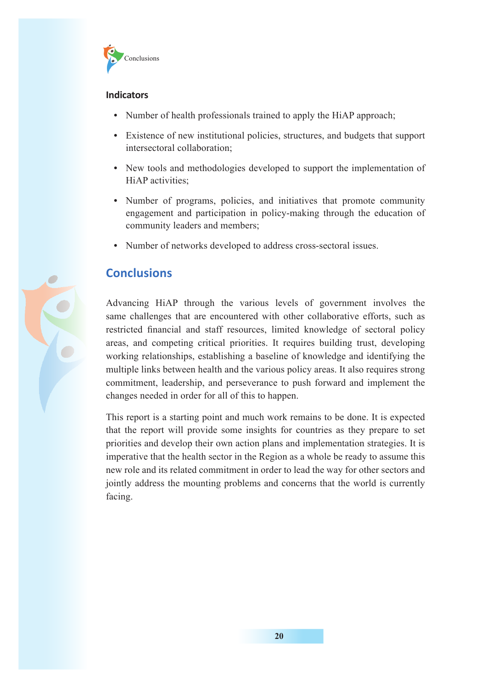

#### **Indicators**

- Number of health professionals trained to apply the HiAP approach;
- **•** Existence of new institutional policies, structures, and budgets that support intersectoral collaboration;
- **•** New tools and methodologies developed to support the implementation of HiAP activities;
- **•** Number of programs, policies, and initiatives that promote community engagement and participation in policy-making through the education of community leaders and members;
- **•** Number of networks developed to address cross-sectoral issues.

# **Conclusions**

Advancing HiAP through the various levels of government involves the same challenges that are encountered with other collaborative efforts, such as restricted financial and staff resources, limited knowledge of sectoral policy areas, and competing critical priorities. It requires building trust, developing working relationships, establishing a baseline of knowledge and identifying the multiple links between health and the various policy areas. It also requires strong commitment, leadership, and perseverance to push forward and implement the changes needed in order for all of this to happen.

This report is a starting point and much work remains to be done. It is expected that the report will provide some insights for countries as they prepare to set priorities and develop their own action plans and implementation strategies. It is imperative that the health sector in the Region as a whole be ready to assume this new role and its related commitment in order to lead the way for other sectors and jointly address the mounting problems and concerns that the world is currently facing.

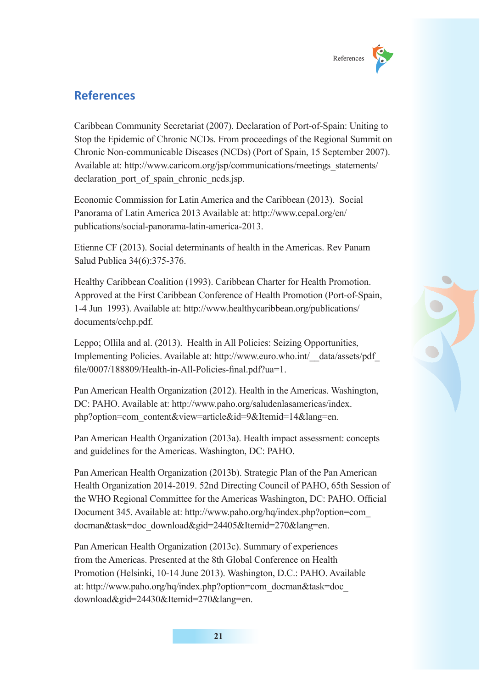

# **References**

Caribbean Community Secretariat (2007). Declaration of Port-of-Spain: Uniting to Stop the Epidemic of Chronic NCDs. From proceedings of the Regional Summit on Chronic Non-communicable Diseases (NCDs) (Port of Spain, 15 September 2007). Available at: http://www.caricom.org/jsp/communications/meetings\_statements/ declaration port of spain chronic neds.jsp.

Economic Commission for Latin America and the Caribbean (2013). Social Panorama of Latin America 2013 Available at: http://www.cepal.org/en/ publications/social-panorama-latin-america-2013.

Etienne CF (2013). Social determinants of health in the Americas. Rev Panam Salud Publica 34(6):375-376.

Healthy Caribbean Coalition (1993). Caribbean Charter for Health Promotion. Approved at the First Caribbean Conference of Health Promotion (Port-of-Spain, 1-4 Jun 1993). Available at: http://www.healthycaribbean.org/publications/ documents/cchp.pdf.

Leppo; Ollila and al. (2013). Health in All Policies: Seizing Opportunities, Implementing Policies. Available at: http://www.euro.who.int/\_\_data/assets/pdf\_ file/0007/188809/Health-in-All-Policies-final.pdf?ua=1.

Pan American Health Organization (2012). Health in the Americas. Washington, DC: PAHO. Available at: http://www.paho.org/saludenlasamericas/index. php?option=com\_content&view=article&id=9&Itemid=14&lang=en.

Pan American Health Organization (2013a). Health impact assessment: concepts and guidelines for the Americas. Washington, DC: PAHO.

Pan American Health Organization (2013b). Strategic Plan of the Pan American Health Organization 2014-2019. 52nd Directing Council of PAHO, 65th Session of the WHO Regional Committee for the Americas Washington, DC: PAHO. Official Document 345. Available at: http://www.paho.org/hq/index.php?option=com\_ docman&task=doc\_download&gid=24405&Itemid=270&lang=en.

Pan American Health Organization (2013c). Summary of experiences from the Americas. Presented at the 8th Global Conference on Health Promotion (Helsinki, 10-14 June 2013). Washington, D.C.: PAHO. Available at: http://www.paho.org/hq/index.php?option=com\_docman&task=doc\_ download&gid=24430&Itemid=270&lang=en.

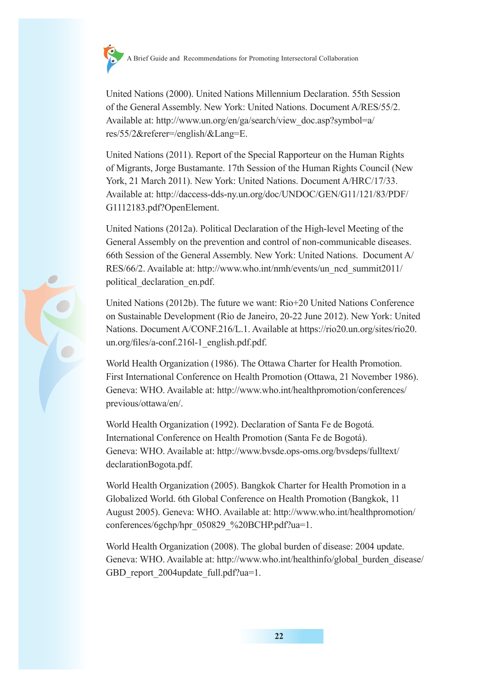

United Nations (2000). United Nations Millennium Declaration. 55th Session of the General Assembly. New York: United Nations. Document A/RES/55/2. Available at: http://www.un.org/en/ga/search/view\_doc.asp?symbol=a/ res/55/2&referer=/english/&Lang=E.

United Nations (2011). Report of the Special Rapporteur on the Human Rights of Migrants, Jorge Bustamante. 17th Session of the Human Rights Council (New York, 21 March 2011). New York: United Nations. Document A/HRC/17/33. Available at: http://daccess-dds-ny.un.org/doc/UNDOC/GEN/G11/121/83/PDF/ G1112183.pdf?OpenElement.

United Nations (2012a). Political Declaration of the High-level Meeting of the General Assembly on the prevention and control of non-communicable diseases. 66th Session of the General Assembly. New York: United Nations. Document A/ RES/66/2. Available at: http://www.who.int/nmh/events/un\_ncd\_summit2011/ political\_declaration\_en.pdf.

United Nations (2012b). The future we want: Rio+20 United Nations Conference on Sustainable Development (Rio de Janeiro, 20-22 June 2012). New York: United Nations. Document A/CONF.216/L.1. Available at https://rio20.un.org/sites/rio20. un.org/files/a-conf.216l-1\_english.pdf.pdf.

World Health Organization (1986). The Ottawa Charter for Health Promotion. First International Conference on Health Promotion (Ottawa, 21 November 1986). Geneva: WHO. Available at: http://www.who.int/healthpromotion/conferences/ previous/ottawa/en/.

World Health Organization (1992). Declaration of Santa Fe de Bogotá. International Conference on Health Promotion (Santa Fe de Bogotá). Geneva: WHO. Available at: http://www.bvsde.ops-oms.org/bvsdeps/fulltext/ declarationBogota.pdf.

World Health Organization (2005). Bangkok Charter for Health Promotion in a Globalized World. 6th Global Conference on Health Promotion (Bangkok, 11 August 2005). Geneva: WHO. Available at: http://www.who.int/healthpromotion/ conferences/6gchp/hpr\_050829\_%20BCHP.pdf?ua=1.

World Health Organization (2008). The global burden of disease: 2004 update. Geneva: WHO. Available at: http://www.who.int/healthinfo/global\_burden\_disease/ GBD report 2004update full.pdf?ua=1.

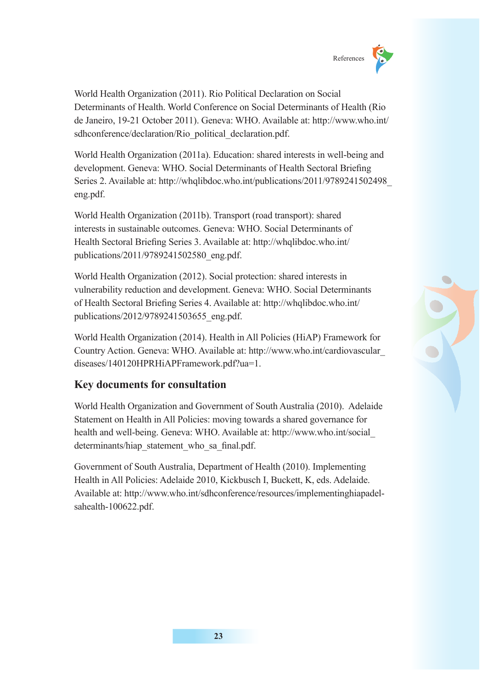

World Health Organization (2011). Rio Political Declaration on Social Determinants of Health. World Conference on Social Determinants of Health (Rio de Janeiro, 19-21 October 2011). Geneva: WHO. Available at: http://www.who.int/ sdhconference/declaration/Rio\_political\_declaration.pdf.

World Health Organization (2011a). Education: shared interests in well-being and development. Geneva: WHO. Social Determinants of Health Sectoral Briefing Series 2. Available at: http://whqlibdoc.who.int/publications/2011/9789241502498\_ eng.pdf.

World Health Organization (2011b). Transport (road transport): shared interests in sustainable outcomes. Geneva: WHO. Social Determinants of Health Sectoral Briefing Series 3. Available at: http://whqlibdoc.who.int/ publications/2011/9789241502580\_eng.pdf.

World Health Organization (2012). Social protection: shared interests in vulnerability reduction and development. Geneva: WHO. Social Determinants of Health Sectoral Briefing Series 4. Available at: http://whqlibdoc.who.int/ publications/2012/9789241503655\_eng.pdf.

World Health Organization (2014). Health in All Policies (HiAP) Framework for Country Action. Geneva: WHO. Available at: http://www.who.int/cardiovascular\_ diseases/140120HPRHiAPFramework.pdf?ua=1.

## **Key documents for consultation**

World Health Organization and Government of South Australia (2010). Adelaide Statement on Health in All Policies: moving towards a shared governance for health and well-being. Geneva: WHO. Available at: http://www.who.int/social\_ determinants/hiap\_statement\_who\_sa\_final.pdf.

Government of South Australia, Department of Health (2010). Implementing Health in All Policies: Adelaide 2010, Kickbusch I, Buckett, K, eds. Adelaide. Available at: http://www.who.int/sdhconference/resources/implementinghiapadelsahealth-100622.pdf.